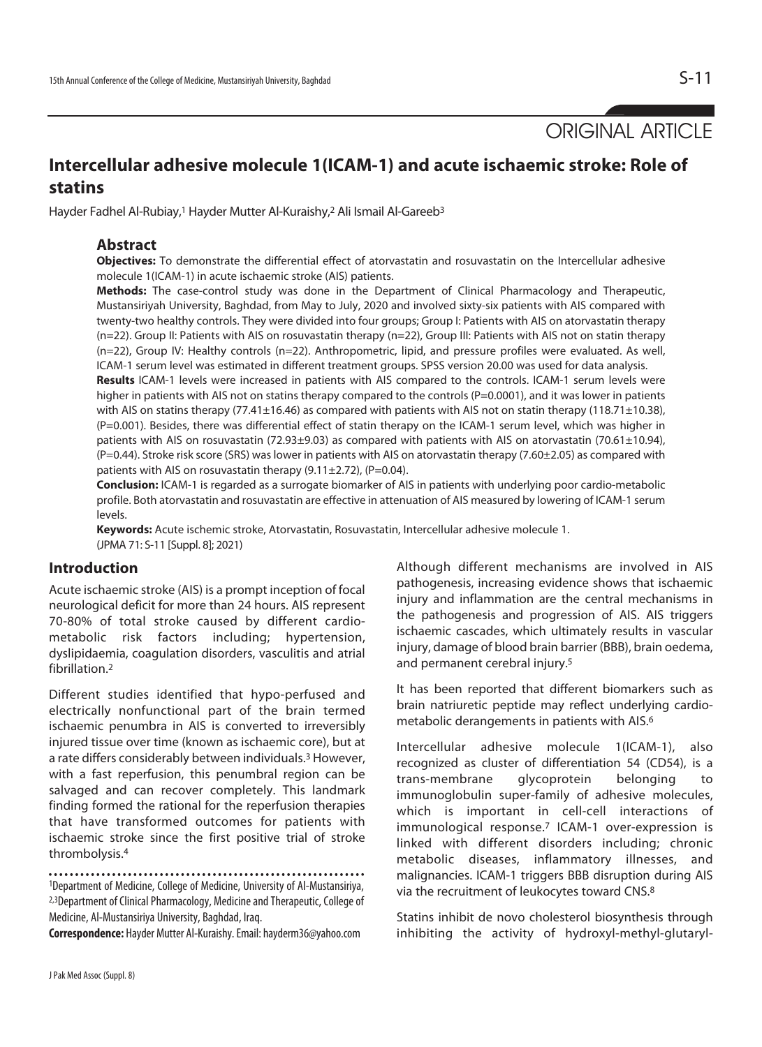ORIGINAL ARTICLE

# **Intercellular adhesive molecule 1(ICAM-1) and acute ischaemic stroke: Role of statins**

Hayder Fadhel Al-Rubiay,<sup>1</sup> Hayder Mutter Al-Kuraishy,<sup>2</sup> Ali Ismail Al-Gareeb<sup>3</sup>

### **Abstract**

**Objectives:** To demonstrate the differential effect of atorvastatin and rosuvastatin on the Intercellular adhesive molecule 1(ICAM-1) in acute ischaemic stroke (AIS) patients.

**Methods:** The case-control study was done in the Department of Clinical Pharmacology and Therapeutic, Mustansiriyah University, Baghdad, from May to July, 2020 and involved sixty-six patients with AIS compared with twenty-two healthy controls. They were divided into four groups; Group I: Patients with AIS on atorvastatin therapy (n=22). Group II: Patients with AIS on rosuvastatin therapy (n=22), Group III: Patients with AIS not on statin therapy (n=22), Group IV: Healthy controls (n=22). Anthropometric, lipid, and pressure profiles were evaluated. As well, ICAM-1 serum level was estimated in different treatment groups. SPSS version 20.00 was used for data analysis.

**Results** ICAM-1 levels were increased in patients with AIS compared to the controls. ICAM-1 serum levels were higher in patients with AIS not on statins therapy compared to the controls (P=0.0001), and it was lower in patients with AIS on statins therapy (77.41±16.46) as compared with patients with AIS not on statin therapy (118.71±10.38), (P=0.001). Besides, there was differential effect of statin therapy on the ICAM-1 serum level, which was higher in patients with AIS on rosuvastatin (72.93±9.03) as compared with patients with AIS on atorvastatin (70.61±10.94), (P=0.44). Stroke risk score (SRS) was lower in patients with AIS on atorvastatin therapy (7.60±2.05) as compared with patients with AIS on rosuvastatin therapy  $(9.11 \pm 2.72)$ ,  $(P=0.04)$ .

**Conclusion:** ICAM-1 is regarded as a surrogate biomarker of AIS in patients with underlying poor cardio-metabolic profile. Both atorvastatin and rosuvastatin are effective in attenuation of AIS measured by lowering of ICAM-1 serum levels.

**Keywords:** Acute ischemic stroke, Atorvastatin, Rosuvastatin, Intercellular adhesive molecule 1. (JPMA 71: S-11 [Suppl. 8]; 2021)

## **Introduction**

Acute ischaemic stroke (AIS) is a prompt inception of focal neurological deficit for more than 24 hours. AIS represent 70-80% of total stroke caused by different cardiometabolic risk factors including; hypertension, dyslipidaemia, coagulation disorders, vasculitis and atrial fibrillation.<sup>2</sup>

Different studies identified that hypo-perfused and electrically nonfunctional part of the brain termed ischaemic penumbra in AIS is converted to irreversibly injured tissue over time (known as ischaemic core), but at a rate differs considerably between individuals.3 However, with a fast reperfusion, this penumbral region can be salvaged and can recover completely. This landmark finding formed the rational for the reperfusion therapies that have transformed outcomes for patients with ischaemic stroke since the first positive trial of stroke thrombolysis.4

1Department of Medicine, College of Medicine, University of Al-Mustansiriya, 2,3Department of Clinical Pharmacology, Medicine and Therapeutic, College of Medicine, Al-Mustansiriya University, Baghdad, Iraq.

**Correspondence:** Hayder Mutter Al-Kuraishy. Email: hayderm36@yahoo.com

Although different mechanisms are involved in AIS pathogenesis, increasing evidence shows that ischaemic injury and inflammation are the central mechanisms in the pathogenesis and progression of AIS. AIS triggers ischaemic cascades, which ultimately results in vascular injury, damage of blood brain barrier (BBB), brain oedema, and permanent cerebral injury.5

It has been reported that different biomarkers such as brain natriuretic peptide may reflect underlying cardiometabolic derangements in patients with AIS.6

Intercellular adhesive molecule 1(ICAM-1), also recognized as cluster of differentiation 54 (CD54), is a trans-membrane glycoprotein belonging to immunoglobulin super-family of adhesive molecules, which is important in cell-cell interactions of immunological response.<sup>7</sup> ICAM-1 over-expression is linked with different disorders including; chronic metabolic diseases, inflammatory illnesses, and malignancies. ICAM-1 triggers BBB disruption during AIS via the recruitment of leukocytes toward CNS.8

Statins inhibit de novo cholesterol biosynthesis through inhibiting the activity of hydroxyl-methyl-glutaryl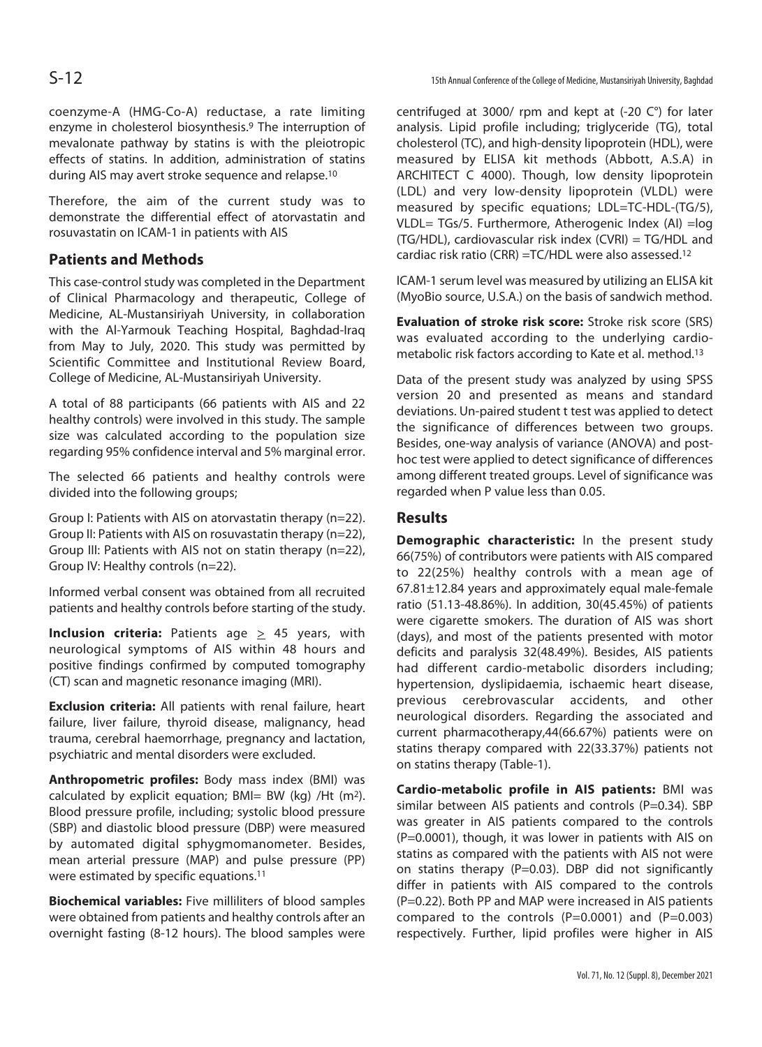coenzyme-A (HMG-Co-A) reductase, a rate limiting enzyme in cholesterol biosynthesis.9 The interruption of mevalonate pathway by statins is with the pleiotropic effects of statins. In addition, administration of statins during AIS may avert stroke sequence and relapse.10

Therefore, the aim of the current study was to demonstrate the differential effect of atorvastatin and rosuvastatin on ICAM-1 in patients with AIS

# **Patients and Methods**

This case-control study was completed in the Department of Clinical Pharmacology and therapeutic, College of Medicine, AL-Mustansiriyah University, in collaboration with the Al-Yarmouk Teaching Hospital, Baghdad-Iraq from May to July, 2020. This study was permitted by Scientific Committee and Institutional Review Board, College of Medicine, AL-Mustansiriyah University.

A total of 88 participants (66 patients with AIS and 22 healthy controls) were involved in this study. The sample size was calculated according to the population size regarding 95% confidence interval and 5% marginal error.

The selected 66 patients and healthy controls were divided into the following groups;

Group I: Patients with AIS on atorvastatin therapy (n=22). Group II: Patients with AIS on rosuvastatin therapy (n=22), Group III: Patients with AIS not on statin therapy (n=22), Group IV: Healthy controls (n=22).

Informed verbal consent was obtained from all recruited patients and healthy controls before starting of the study.

**Inclusion criteria:** Patients age  $\geq$  45 years, with neurological symptoms of AIS within 48 hours and positive findings confirmed by computed tomography (CT) scan and magnetic resonance imaging (MRI).

**Exclusion criteria:** All patients with renal failure, heart failure, liver failure, thyroid disease, malignancy, head trauma, cerebral haemorrhage, pregnancy and lactation, psychiatric and mental disorders were excluded.

**Anthropometric profiles:** Body mass index (BMI) was calculated by explicit equation;  $BMI = BW (kq) /Ht (m<sup>2</sup>).$ Blood pressure profile, including; systolic blood pressure (SBP) and diastolic blood pressure (DBP) were measured by automated digital sphygmomanometer. Besides, mean arterial pressure (MAP) and pulse pressure (PP) were estimated by specific equations.11

**Biochemical variables:** Five milliliters of blood samples were obtained from patients and healthy controls after an overnight fasting (8-12 hours). The blood samples were centrifuged at 3000/ rpm and kept at (-20 C°) for later analysis. Lipid profile including; triglyceride (TG), total cholesterol (TC), and high-density lipoprotein (HDL), were measured by ELISA kit methods (Abbott, A.S.A) in ARCHITECT C 4000). Though, low density lipoprotein (LDL) and very low-density lipoprotein (VLDL) were measured by specific equations; LDL=TC-HDL-(TG/5), VLDL= TGs/5. Furthermore, Atherogenic Index (AI) =log (TG/HDL), cardiovascular risk index (CVRI) = TG/HDL and cardiac risk ratio (CRR) =TC/HDL were also assessed.12

ICAM-1 serum level was measured by utilizing an ELISA kit (MyoBio source, U.S.A.) on the basis of sandwich method.

**Evaluation of stroke risk score:** Stroke risk score (SRS) was evaluated according to the underlying cardiometabolic risk factors according to Kate et al. method.13

Data of the present study was analyzed by using SPSS version 20 and presented as means and standard deviations. Un-paired student t test was applied to detect the significance of differences between two groups. Besides, one-way analysis of variance (ANOVA) and posthoc test were applied to detect significance of differences among different treated groups. Level of significance was regarded when P value less than 0.05.

## **Results**

**Demographic characteristic:** In the present study 66(75%) of contributors were patients with AIS compared to 22(25%) healthy controls with a mean age of 67.81±12.84 years and approximately equal male-female ratio (51.13-48.86%). In addition, 30(45.45%) of patients were cigarette smokers. The duration of AIS was short (days), and most of the patients presented with motor deficits and paralysis 32(48.49%). Besides, AIS patients had different cardio-metabolic disorders including; hypertension, dyslipidaemia, ischaemic heart disease, previous cerebrovascular accidents, and other neurological disorders. Regarding the associated and current pharmacotherapy,44(66.67%) patients were on statins therapy compared with 22(33.37%) patients not on statins therapy (Table-1).

**Cardio-metabolic profile in AIS patients:** BMI was similar between AIS patients and controls ( $P=0.34$ ). SBP was greater in AIS patients compared to the controls (P=0.0001), though, it was lower in patients with AIS on statins as compared with the patients with AIS not were on statins therapy (P=0.03). DBP did not significantly differ in patients with AIS compared to the controls (P=0.22). Both PP and MAP were increased in AIS patients compared to the controls  $(P=0.0001)$  and  $(P=0.003)$ respectively. Further, lipid profiles were higher in AIS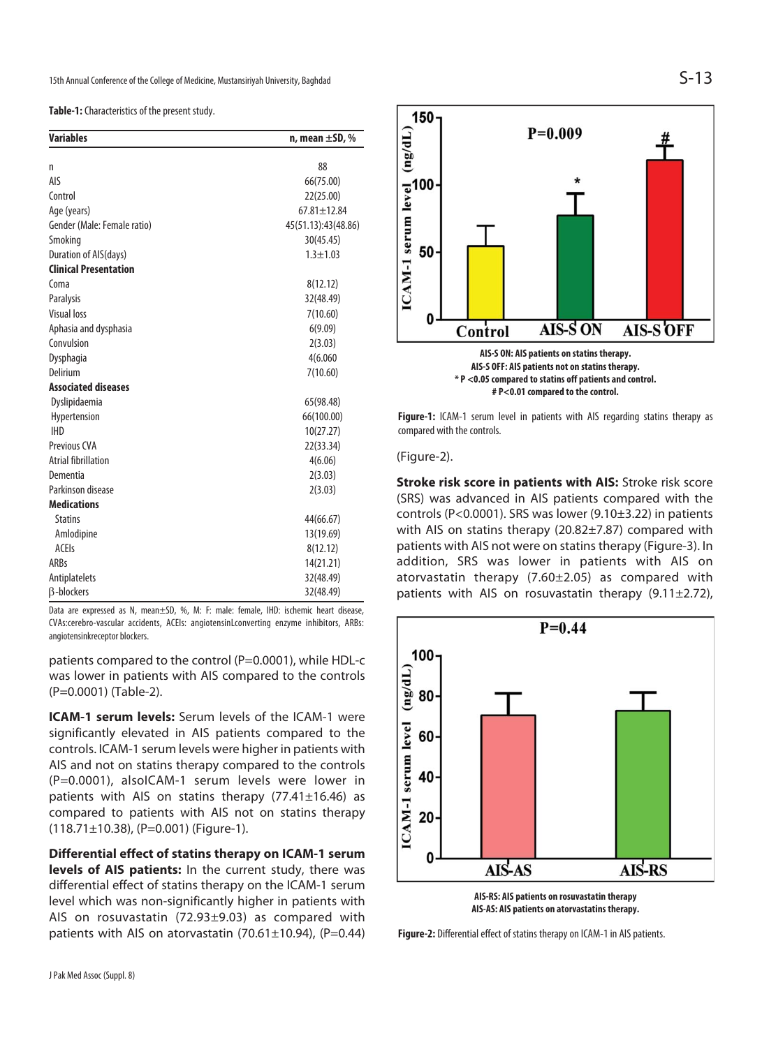**Table-1:** Characteristics of the present study.

| <b>Variables</b>             | n, mean $\pm$ SD, % |  |  |
|------------------------------|---------------------|--|--|
|                              |                     |  |  |
| n                            | 88                  |  |  |
| AIS                          | 66(75.00)           |  |  |
| Control                      | 22(25.00)           |  |  |
| Age (years)                  | $67.81 \pm 12.84$   |  |  |
| Gender (Male: Female ratio)  | 45(51.13):43(48.86) |  |  |
| Smoking                      | 30(45.45)           |  |  |
| Duration of AIS(days)        | $1.3 + 1.03$        |  |  |
| <b>Clinical Presentation</b> |                     |  |  |
| Coma                         | 8(12.12)            |  |  |
| Paralysis                    | 32(48.49)           |  |  |
| <b>Visual loss</b>           | 7(10.60)            |  |  |
| Aphasia and dysphasia        | 6(9.09)             |  |  |
| Convulsion                   | 2(3.03)             |  |  |
| Dysphagia                    | 4(6.060             |  |  |
| Delirium                     | 7(10.60)            |  |  |
| <b>Associated diseases</b>   |                     |  |  |
| Dyslipidaemia                | 65(98.48)           |  |  |
| Hypertension                 | 66(100.00)          |  |  |
| <b>IHD</b>                   | 10(27.27)           |  |  |
| Previous CVA                 | 22(33.34)           |  |  |
| <b>Atrial fibrillation</b>   | 4(6.06)             |  |  |
| Dementia                     | 2(3.03)             |  |  |
| Parkinson disease            | 2(3.03)             |  |  |
| <b>Medications</b>           |                     |  |  |
| <b>Statins</b>               | 44(66.67)           |  |  |
| Amlodipine                   | 13(19.69)           |  |  |
| <b>ACEIs</b>                 | 8(12.12)            |  |  |
| <b>ARBs</b>                  | 14(21.21)           |  |  |
| Antiplatelets                | 32(48.49)           |  |  |
| <b>B-blockers</b>            | 32(48.49)           |  |  |

Data are expressed as N, mean±SD, %, M: F: male: female, IHD: ischemic heart disease, CVAs:cerebro-vascular accidents, ACEIs: angiotensinLconverting enzyme inhibitors, ARBs: angiotensinkreceptor blockers.

patients compared to the control (P=0.0001), while HDL-c was lower in patients with AIS compared to the controls (P=0.0001) (Table-2).

**ICAM-1 serum levels:** Serum levels of the ICAM-1 were significantly elevated in AIS patients compared to the controls. ICAM-1 serum levels were higher in patients with AIS and not on statins therapy compared to the controls (P=0.0001), alsoICAM-1 serum levels were lower in patients with AIS on statins therapy (77.41±16.46) as compared to patients with AIS not on statins therapy  $(118.71\pm10.38)$ , (P=0.001) (Figure-1).

**Differential effect of statins therapy on ICAM-1 serum levels of AIS patients:** In the current study, there was differential effect of statins therapy on the ICAM-1 serum level which was non-significantly higher in patients with AIS on rosuvastatin (72.93±9.03) as compared with patients with AIS on atorvastatin  $(70.61 \pm 10.94)$ ,  $(P=0.44)$ 



Figure-1: ICAM-1 serum level in patients with AIS regarding statins therapy as compared with the controls.

**AIS-S ON: AIS patients on statins therapy. AIS-S OFF: AIS patients not on statins therapy. \* P <0.05 compared to statins off patients and control. # P<0.01 compared to the control.** 

**AIS-S ON** 

(Figure-2).

0

Control

150

 $ICAM-1$  serum level  $(\frac{ng}{d})$ 

**Stroke risk score in patients with AIS:** Stroke risk score (SRS) was advanced in AIS patients compared with the controls (P<0.0001). SRS was lower (9.10±3.22) in patients with AIS on statins therapy (20.82±7.87) compared with patients with AIS not were on statins therapy (Figure-3). In addition, SRS was lower in patients with AIS on atorvastatin therapy (7.60±2.05) as compared with patients with AIS on rosuvastatin therapy  $(9.11 \pm 2.72)$ ,



**AIS-AS: AIS patients on atorvastatins therapy.** 

**Figure-2:** Differential effect of statins therapy on ICAM-1 in AIS patients.

**AIS-S OFF**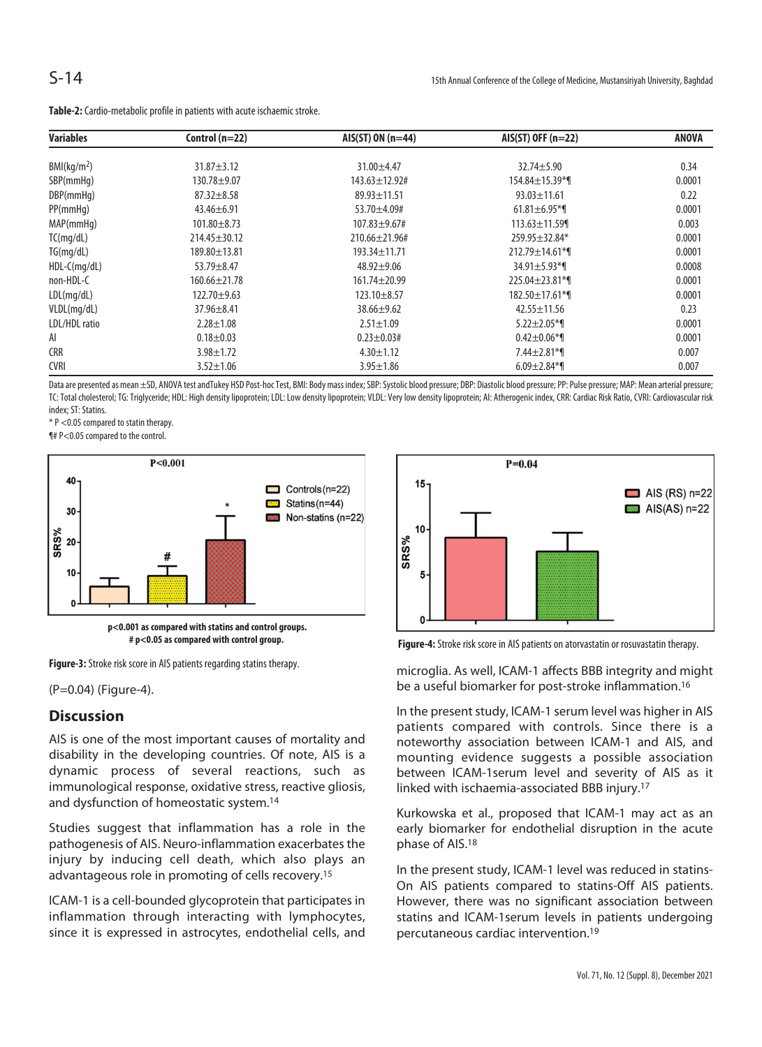| <b>Variables</b>        | Control $(n=22)$   | $AIS(ST) ON (n=44)$   | $AIS(ST)$ OFF (n=22)  | <b>ANOVA</b> |
|-------------------------|--------------------|-----------------------|-----------------------|--------------|
| BMl(kq/m <sup>2</sup> ) | $31.87 + 3.12$     | $31.00 + 4.47$        | $32.74 + 5.90$        | 0.34         |
|                         |                    |                       |                       |              |
| SBP(mmHq)               | $130.78 + 9.07$    | $143.63 \pm 12.92$ #  | 154.84±15.39*¶        | 0.0001       |
| DBP(mmHq)               | $87.32 \pm 8.58$   | $89.93 \pm 11.51$     | $93.03 \pm 11.61$     | 0.22         |
| PP(mmHq)                | $43.46 \pm 6.91$   | $53.70 + 4.09$ #      | $61.81 \pm 6.95$ *    | 0.0001       |
| MAP(mmHq)               | $101.80 + 8.73$    | $107.83 + 9.67$ #     | $113.63 \pm 11.59$    | 0.003        |
| TC(mq/dL)               | $214.45 \pm 30.12$ | $210.66 \pm 21.96 \#$ | 259.95±32.84*         | 0.0001       |
| TG(mq/dL)               | $189.80 \pm 13.81$ | $193.34 \pm 11.71$    | $212.79 \pm 14.61$ *1 | 0.0001       |
| $HDL-C(mq/dL)$          | 53.79±8.47         | $48.92 + 9.06$        | $34.91 \pm 5.93$ *1   | 0.0008       |
| non-HDL-C               | $160.66 \pm 21.78$ | $161.74 \pm 20.99$    | $225.04 \pm 23.81$ *1 | 0.0001       |
| LDL(mq/dL)              | $122.70 \pm 9.63$  | $123.10 \pm 8.57$     | 182.50±17.61*¶        | 0.0001       |
| VLDL(mg/dL)             | $37.96 \pm 8.41$   | $38.66 \pm 9.62$      | $42.55 \pm 11.56$     | 0.23         |
| LDL/HDL ratio           | $2.28 \pm 1.08$    | $2.51 \pm 1.09$       | $5.22 \pm 2.05$ *1    | 0.0001       |
| AI                      | $0.18 + 0.03$      | $0.23 \pm 0.03$ #     | $0.42 \pm 0.06$ *1    | 0.0001       |
| <b>CRR</b>              | $3.98 \pm 1.72$    | $4.30 \pm 1.12$       | $7.44 \pm 2.81$ *     | 0.007        |
| <b>CVRI</b>             | $3.52 \pm 1.06$    | $3.95 \pm 1.86$       | $6.09 \pm 2.84$ *1    | 0.007        |

**Table-2:** Cardio-metabolic profile in patients with acute ischaemic stroke.

Data are presented as mean ±SD, ANOVA test andTukey HSD Post-hoc Test, BMI: Body mass index; SBP: Systolic blood pressure; OBP: Diastolic blood pressure; PP: Pulse pressure; MAP: Mean arterial pressure; MAP: Mean arterial TC: Total cholesterol; TG: Triglyceride; HDL: High density lipoprotein; LDL: Low density lipoprotein; VLDL: Very low density lipoprotein; AI: Atherogenic index, CRR: Cardiac Risk Ratio, CVRI: Cardiovascular risk index; ST: Statins.

\* P <0.05 compared to statin therapy.

¶# P<0.05 compared to the control.



**# p<0.05 as compared with control group.** 

**Figure-3:** Stroke risk score in AIS patients regarding statins therapy.

(P=0.04) (Figure-4).

## **Discussion**

AIS is one of the most important causes of mortality and disability in the developing countries. Of note, AIS is a dynamic process of several reactions, such as immunological response, oxidative stress, reactive gliosis, and dysfunction of homeostatic system.14

Studies suggest that inflammation has a role in the pathogenesis of AIS. Neuro-inflammation exacerbates the injury by inducing cell death, which also plays an advantageous role in promoting of cells recovery.15

ICAM-1 is a cell-bounded glycoprotein that participates in inflammation through interacting with lymphocytes, since it is expressed in astrocytes, endothelial cells, and



**Figure-4:** Stroke risk score in AIS patients on atorvastatin or rosuvastatin therapy.

microglia. As well, ICAM-1 affects BBB integrity and might be a useful biomarker for post-stroke inflammation.16

In the present study, ICAM-1 serum level was higher in AIS patients compared with controls. Since there is a noteworthy association between ICAM-1 and AIS, and mounting evidence suggests a possible association between ICAM-1serum level and severity of AIS as it linked with ischaemia-associated BBB injury.17

Kurkowska et al., proposed that ICAM-1 may act as an early biomarker for endothelial disruption in the acute phase of AIS.18

In the present study, ICAM-1 level was reduced in statins-On AIS patients compared to statins-Off AIS patients. However, there was no significant association between statins and ICAM-1serum levels in patients undergoing percutaneous cardiac intervention.19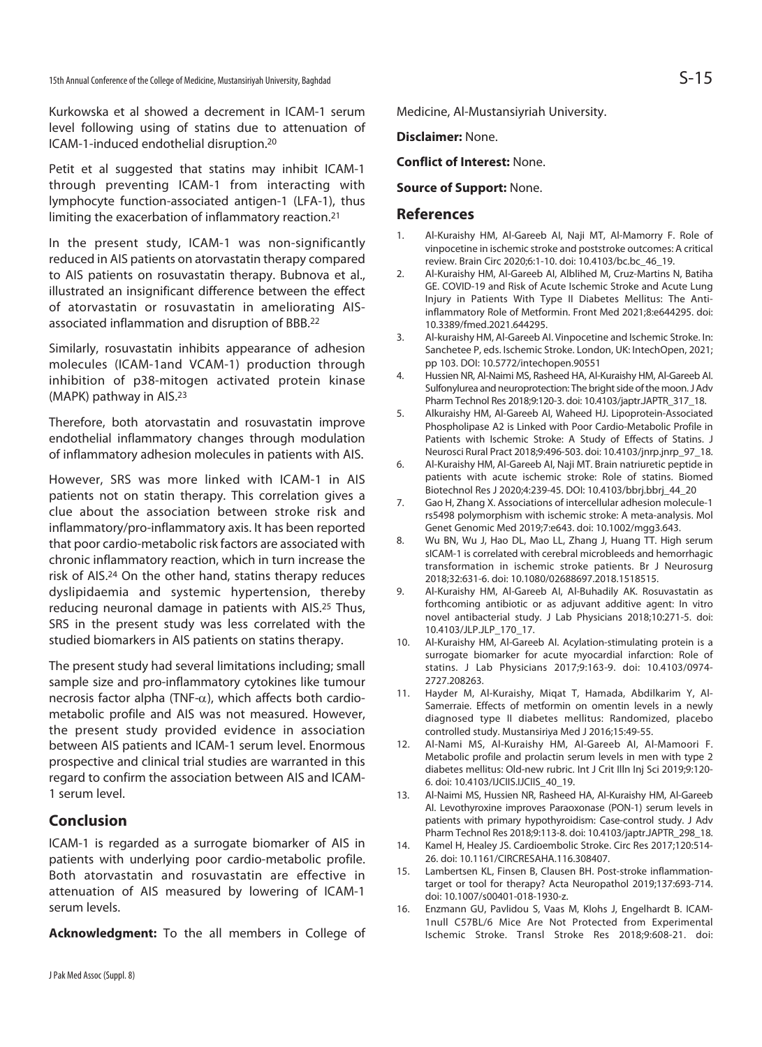Kurkowska et al showed a decrement in ICAM-1 serum level following using of statins due to attenuation of ICAM-1-induced endothelial disruption.20

Petit et al suggested that statins may inhibit ICAM-1 through preventing ICAM-1 from interacting with lymphocyte function-associated antigen-1 (LFA-1), thus limiting the exacerbation of inflammatory reaction.21

In the present study, ICAM-1 was non-significantly reduced in AIS patients on atorvastatin therapy compared to AIS patients on rosuvastatin therapy. Bubnova et al., illustrated an insignificant difference between the effect of atorvastatin or rosuvastatin in ameliorating AISassociated inflammation and disruption of BBB.22

Similarly, rosuvastatin inhibits appearance of adhesion molecules (ICAM-1and VCAM-1) production through inhibition of p38-mitogen activated protein kinase (MAPK) pathway in AIS.23

Therefore, both atorvastatin and rosuvastatin improve endothelial inflammatory changes through modulation of inflammatory adhesion molecules in patients with AIS.

However, SRS was more linked with ICAM-1 in AIS patients not on statin therapy. This correlation gives a clue about the association between stroke risk and inflammatory/pro-inflammatory axis. It has been reported that poor cardio-metabolic risk factors are associated with chronic inflammatory reaction, which in turn increase the risk of AIS.24 On the other hand, statins therapy reduces dyslipidaemia and systemic hypertension, thereby reducing neuronal damage in patients with AIS.<sup>25</sup> Thus, SRS in the present study was less correlated with the studied biomarkers in AIS patients on statins therapy.

The present study had several limitations including; small sample size and pro-inflammatory cytokines like tumour necrosis factor alpha (TNF- $\alpha$ ), which affects both cardiometabolic profile and AIS was not measured. However, the present study provided evidence in association between AIS patients and ICAM-1 serum level. Enormous prospective and clinical trial studies are warranted in this regard to confirm the association between AIS and ICAM-1 serum level.

## **Conclusion**

ICAM-1 is regarded as a surrogate biomarker of AIS in patients with underlying poor cardio-metabolic profile. Both atorvastatin and rosuvastatin are effective in attenuation of AIS measured by lowering of ICAM-1 serum levels.

**Acknowledgment:** To the all members in College of

Medicine, Al-Mustansiyriah University.

#### **Disclaimer:** None.

#### **Conflict of Interest:** None.

#### **Source of Support:** None.

#### **References**

- 1. Al-Kuraishy HM, Al-Gareeb AI, Naji MT, Al-Mamorry F. Role of vinpocetine in ischemic stroke and poststroke outcomes: A critical review. Brain Circ 2020;6:1-10. doi: 10.4103/bc.bc\_46\_19.
- 2. Al-Kuraishy HM, Al-Gareeb AI, Alblihed M, Cruz-Martins N, Batiha GE. COVID-19 and Risk of Acute Ischemic Stroke and Acute Lung Injury in Patients With Type II Diabetes Mellitus: The Antiinflammatory Role of Metformin. Front Med 2021;8:e644295. doi: 10.3389/fmed.2021.644295.
- 3. Al-kuraishy HM, Al-Gareeb AI. Vinpocetine and Ischemic Stroke. In: Sanchetee P, eds. Ischemic Stroke. London, UK: IntechOpen, 2021; pp 103. DOI: 10.5772/intechopen.90551
- 4. Hussien NR, Al-Naimi MS, Rasheed HA, Al-Kuraishy HM, Al-Gareeb AI. Sulfonylurea and neuroprotection: The bright side of the moon. J Adv Pharm Technol Res 2018;9:120-3. doi: 10.4103/japtr.JAPTR\_317\_18.
- 5. Alkuraishy HM, Al-Gareeb AI, Waheed HJ. Lipoprotein-Associated Phospholipase A2 is Linked with Poor Cardio-Metabolic Profile in Patients with Ischemic Stroke: A Study of Effects of Statins. J Neurosci Rural Pract 2018;9:496-503. doi: 10.4103/jnrp.jnrp\_97\_18.
- 6. Al-Kuraishy HM, Al-Gareeb AI, Naji MT. Brain natriuretic peptide in patients with acute ischemic stroke: Role of statins. Biomed Biotechnol Res J 2020;4:239-45. DOI: 10.4103/bbrj.bbrj\_44\_20
- 7. Gao H, Zhang X. Associations of intercellular adhesion molecule-1 rs5498 polymorphism with ischemic stroke: A meta-analysis. Mol Genet Genomic Med 2019;7:e643. doi: 10.1002/mgg3.643.
- 8. Wu BN, Wu J, Hao DL, Mao LL, Zhang J, Huang TT. High serum sICAM-1 is correlated with cerebral microbleeds and hemorrhagic transformation in ischemic stroke patients. Br J Neurosurg 2018;32:631-6. doi: 10.1080/02688697.2018.1518515.
- 9. Al-Kuraishy HM, Al-Gareeb AI, Al-Buhadily AK. Rosuvastatin as forthcoming antibiotic or as adjuvant additive agent: In vitro novel antibacterial study. J Lab Physicians 2018;10:271-5. doi: 10.4103/JLP.JLP\_170\_17.
- 10. Al-Kuraishy HM, Al-Gareeb AI. Acylation-stimulating protein is a surrogate biomarker for acute myocardial infarction: Role of statins. J Lab Physicians 2017;9:163-9. doi: 10.4103/0974- 2727.208263.
- 11. Hayder M, Al-Kuraishy, Miqat T, Hamada, Abdilkarim Y, Al-Samerraie. Effects of metformin on omentin levels in a newly diagnosed type II diabetes mellitus: Randomized, placebo controlled study. Mustansiriya Med J 2016;15:49-55.
- 12. Al-Nami MS, Al-Kuraishy HM, Al-Gareeb AI, Al-Mamoori F. Metabolic profile and prolactin serum levels in men with type 2 diabetes mellitus: Old-new rubric. Int J Crit Illn Inj Sci 2019;9:120- 6. doi: 10.4103/IJCIIS.IJCIIS\_40\_19.
- 13. Al-Naimi MS, Hussien NR, Rasheed HA, Al-Kuraishy HM, Al-Gareeb AI. Levothyroxine improves Paraoxonase (PON-1) serum levels in patients with primary hypothyroidism: Case-control study. J Adv Pharm Technol Res 2018;9:113-8. doi: 10.4103/japtr.JAPTR\_298\_18.
- 14. Kamel H, Healey JS. Cardioembolic Stroke. Circ Res 2017;120:514- 26. doi: 10.1161/CIRCRESAHA.116.308407.
- 15. Lambertsen KL, Finsen B, Clausen BH. Post-stroke inflammationtarget or tool for therapy? Acta Neuropathol 2019;137:693-714. doi: 10.1007/s00401-018-1930-z.
- 16. Enzmann GU, Pavlidou S, Vaas M, Klohs J, Engelhardt B. ICAM-1null C57BL/6 Mice Are Not Protected from Experimental Ischemic Stroke. Transl Stroke Res 2018;9:608-21. doi: